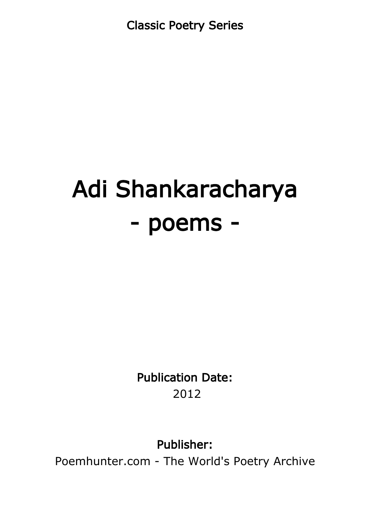Classic Poetry Series

# Adi Shankaracharya - poems -

Publication Date: 2012

Publisher:

Poemhunter.com - The World's Poetry Archive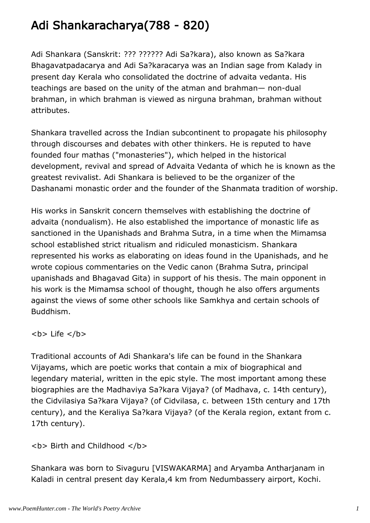# Adi Shankaracharya(788 - 820)

Adi Shankara (Sanskrit: ??? ?????? Adi Sa?kara), also known as Sa?kara Bhagavatpadacarya and Adi Sa?karacarya was an Indian sage from Kalady in present day Kerala who consolidated the doctrine of advaita vedanta. His teachings are based on the unity of the atman and brahman— non-dual brahman, in which brahman is viewed as nirguna brahman, brahman without attributes.

Shankara travelled across the Indian subcontinent to propagate his philosophy through discourses and debates with other thinkers. He is reputed to have founded four mathas ("monasteries"), which helped in the historical development, revival and spread of Advaita Vedanta of which he is known as the greatest revivalist. Adi Shankara is believed to be the organizer of the Dashanami monastic order and the founder of the Shanmata tradition of worship.

His works in Sanskrit concern themselves with establishing the doctrine of advaita (nondualism). He also established the importance of monastic life as sanctioned in the Upanishads and Brahma Sutra, in a time when the Mimamsa school established strict ritualism and ridiculed monasticism. Shankara represented his works as elaborating on ideas found in the Upanishads, and he wrote copious commentaries on the Vedic canon (Brahma Sutra, principal upanishads and Bhagavad Gita) in support of his thesis. The main opponent in his work is the Mimamsa school of thought, though he also offers arguments against the views of some other schools like Samkhya and certain schools of Buddhism.

 $$ 

Traditional accounts of Adi Shankara's life can be found in the Shankara Vijayams, which are poetic works that contain a mix of biographical and legendary material, written in the epic style. The most important among these biographies are the Madhaviya Sa?kara Vijaya? (of Madhava, c. 14th century), the Cidvilasiya Sa?kara Vijaya? (of Cidvilasa, c. between 15th century and 17th century), and the Keraliya Sa?kara Vijaya? (of the Kerala region, extant from c. 17th century).

**<b> Birth and Childhood </b>** 

Shankara was born to Sivaguru [VISWAKARMA] and Aryamba Antharjanam in Kaladi in central present day Kerala,4 km from Nedumbassery airport, Kochi.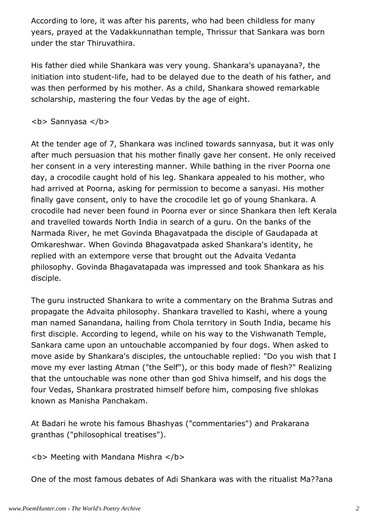According to lore, it was after his parents, who had been childless for many years, prayed at the Vadakkunnathan temple, Thrissur that Sankara was born under the star Thiruvathira.

His father died while Shankara was very young. Shankara's upanayana?, the initiation into student-life, had to be delayed due to the death of his father, and was then performed by his mother. As a child, Shankara showed remarkable scholarship, mastering the four Vedas by the age of eight.

**<b>** Sannyasa </b>

At the tender age of 7, Shankara was inclined towards sannyasa, but it was only after much persuasion that his mother finally gave her consent. He only received her consent in a very interesting manner. While bathing in the river Poorna one day, a crocodile caught hold of his leg. Shankara appealed to his mother, who had arrived at Poorna, asking for permission to become a sanyasi. His mother finally gave consent, only to have the crocodile let go of young Shankara. A crocodile had never been found in Poorna ever or since Shankara then left Kerala and travelled towards North India in search of a guru. On the banks of the Narmada River, he met Govinda Bhagavatpada the disciple of Gaudapada at Omkareshwar. When Govinda Bhagavatpada asked Shankara's identity, he replied with an extempore verse that brought out the Advaita Vedanta philosophy. Govinda Bhagavatapada was impressed and took Shankara as his disciple.

The guru instructed Shankara to write a commentary on the Brahma Sutras and propagate the Advaita philosophy. Shankara travelled to Kashi, where a young man named Sanandana, hailing from Chola territory in South India, became his first disciple. According to legend, while on his way to the Vishwanath Temple, Sankara came upon an untouchable accompanied by four dogs. When asked to move aside by Shankara's disciples, the untouchable replied: "Do you wish that I move my ever lasting Atman ("the Self"), or this body made of flesh?" Realizing that the untouchable was none other than god Shiva himself, and his dogs the four Vedas, Shankara prostrated himself before him, composing five shlokas known as Manisha Panchakam.

At Badari he wrote his famous Bhashyas ("commentaries") and Prakarana granthas ("philosophical treatises").

**<b> Meeting with Mandana Mishra </b>** 

One of the most famous debates of Adi Shankara was with the ritualist Ma??ana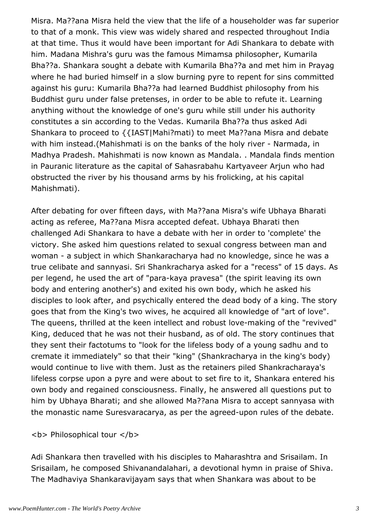Misra. Ma??ana Misra held the view that the life of a householder was far superior to that of a monk. This view was widely shared and respected throughout India at that time. Thus it would have been important for Adi Shankara to debate with him. Madana Mishra's guru was the famous Mimamsa philosopher, Kumarila Bha??a. Shankara sought a debate with Kumarila Bha??a and met him in Prayag where he had buried himself in a slow burning pyre to repent for sins committed against his guru: Kumarila Bha??a had learned Buddhist philosophy from his Buddhist guru under false pretenses, in order to be able to refute it. Learning anything without the knowledge of one's guru while still under his authority constitutes a sin according to the Vedas. Kumarila Bha??a thus asked Adi Shankara to proceed to {{IAST|Mahi?mati) to meet Ma??ana Misra and debate with him instead.(Mahishmati is on the banks of the holy river - Narmada, in Madhya Pradesh. Mahishmati is now known as Mandala. . Mandala finds mention in Pauranic literature as the capital of Sahasrabahu Kartyaveer Arjun who had obstructed the river by his thousand arms by his frolicking, at his capital Mahishmati).

After debating for over fifteen days, with Ma??ana Misra's wife Ubhaya Bharati acting as referee, Ma??ana Misra accepted defeat. Ubhaya Bharati then challenged Adi Shankara to have a debate with her in order to 'complete' the victory. She asked him questions related to sexual congress between man and woman - a subject in which Shankaracharya had no knowledge, since he was a true celibate and sannyasi. Sri Shankracharya asked for a "recess" of 15 days. As per legend, he used the art of "para-kaya pravesa" (the spirit leaving its own body and entering another's) and exited his own body, which he asked his disciples to look after, and psychically entered the dead body of a king. The story goes that from the King's two wives, he acquired all knowledge of "art of love". The queens, thrilled at the keen intellect and robust love-making of the "revived" King, deduced that he was not their husband, as of old. The story continues that they sent their factotums to "look for the lifeless body of a young sadhu and to cremate it immediately" so that their "king" (Shankracharya in the king's body) would continue to live with them. Just as the retainers piled Shankracharaya's lifeless corpse upon a pyre and were about to set fire to it, Shankara entered his own body and regained consciousness. Finally, he answered all questions put to him by Ubhaya Bharati; and she allowed Ma??ana Misra to accept sannyasa with the monastic name Suresvaracarya, as per the agreed-upon rules of the debate.

**<b> Philosophical tour </b>** 

Adi Shankara then travelled with his disciples to Maharashtra and Srisailam. In Srisailam, he composed Shivanandalahari, a devotional hymn in praise of Shiva. The Madhaviya Shankaravijayam says that when Shankara was about to be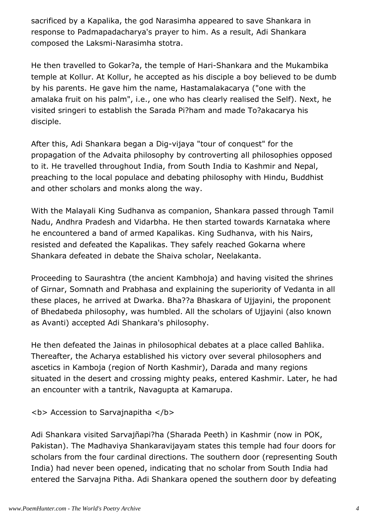sacrificed by a Kapalika, the god Narasimha appeared to save Shankara in response to Padmapadacharya's prayer to him. As a result, Adi Shankara composed the Laksmi-Narasimha stotra.

He then travelled to Gokar?a, the temple of Hari-Shankara and the Mukambika temple at Kollur. At Kollur, he accepted as his disciple a boy believed to be dumb by his parents. He gave him the name, Hastamalakacarya ("one with the amalaka fruit on his palm", i.e., one who has clearly realised the Self). Next, he visited sringeri to establish the Sarada Pi?ham and made To?akacarya his disciple.

After this, Adi Shankara began a Dig-vijaya "tour of conquest" for the propagation of the Advaita philosophy by controverting all philosophies opposed to it. He travelled throughout India, from South India to Kashmir and Nepal, preaching to the local populace and debating philosophy with Hindu, Buddhist and other scholars and monks along the way.

With the Malayali King Sudhanva as companion, Shankara passed through Tamil Nadu, Andhra Pradesh and Vidarbha. He then started towards Karnataka where he encountered a band of armed Kapalikas. King Sudhanva, with his Nairs, resisted and defeated the Kapalikas. They safely reached Gokarna where Shankara defeated in debate the Shaiva scholar, Neelakanta.

Proceeding to Saurashtra (the ancient Kambhoja) and having visited the shrines of Girnar, Somnath and Prabhasa and explaining the superiority of Vedanta in all these places, he arrived at Dwarka. Bha??a Bhaskara of Ujjayini, the proponent of Bhedabeda philosophy, was humbled. All the scholars of Ujjayini (also known as Avanti) accepted Adi Shankara's philosophy.

He then defeated the Jainas in philosophical debates at a place called Bahlika. Thereafter, the Acharya established his victory over several philosophers and ascetics in Kamboja (region of North Kashmir), Darada and many regions situated in the desert and crossing mighty peaks, entered Kashmir. Later, he had an encounter with a tantrik, Navagupta at Kamarupa.

<b> Accession to Sarvajnapitha </b>

Adi Shankara visited Sarvajñapi?ha (Sharada Peeth) in Kashmir (now in POK, Pakistan). The Madhaviya Shankaravijayam states this temple had four doors for scholars from the four cardinal directions. The southern door (representing South India) had never been opened, indicating that no scholar from South India had entered the Sarvajna Pitha. Adi Shankara opened the southern door by defeating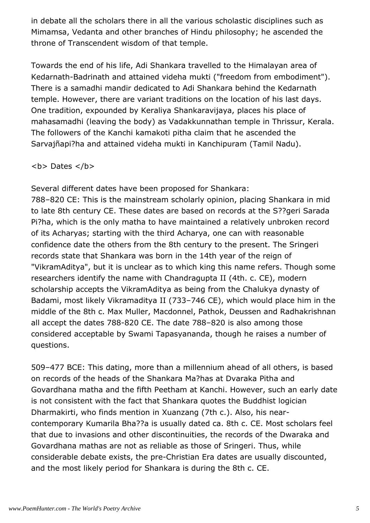in debate all the scholars there in all the various scholastic disciplines such as Mimamsa, Vedanta and other branches of Hindu philosophy; he ascended the throne of Transcendent wisdom of that temple.

Towards the end of his life, Adi Shankara travelled to the Himalayan area of Kedarnath-Badrinath and attained videha mukti ("freedom from embodiment"). There is a samadhi mandir dedicated to Adi Shankara behind the Kedarnath temple. However, there are variant traditions on the location of his last days. One tradition, expounded by Keraliya Shankaravijaya, places his place of mahasamadhi (leaving the body) as Vadakkunnathan temple in Thrissur, Kerala. The followers of the Kanchi kamakoti pitha claim that he ascended the Sarvajñapi?ha and attained videha mukti in Kanchipuram (Tamil Nadu).

 $$ 

Several different dates have been proposed for Shankara:

788–820 CE: This is the mainstream scholarly opinion, placing Shankara in mid to late 8th century CE. These dates are based on records at the S??geri Sarada Pi?ha, which is the only matha to have maintained a relatively unbroken record of its Acharyas; starting with the third Acharya, one can with reasonable confidence date the others from the 8th century to the present. The Sringeri records state that Shankara was born in the 14th year of the reign of "VikramAditya", but it is unclear as to which king this name refers. Though some researchers identify the name with Chandragupta II (4th. c. CE), modern scholarship accepts the VikramAditya as being from the Chalukya dynasty of Badami, most likely Vikramaditya II (733–746 CE), which would place him in the middle of the 8th c. Max Muller, Macdonnel, Pathok, Deussen and Radhakrishnan all accept the dates 788-820 CE. The date 788–820 is also among those considered acceptable by Swami Tapasyananda, though he raises a number of questions.

509–477 BCE: This dating, more than a millennium ahead of all others, is based on records of the heads of the Shankara Ma?has at Dvaraka Pitha and Govardhana matha and the fifth Peetham at Kanchi. However, such an early date is not consistent with the fact that Shankara quotes the Buddhist logician Dharmakirti, who finds mention in Xuanzang (7th c.). Also, his nearcontemporary Kumarila Bha??a is usually dated ca. 8th c. CE. Most scholars feel that due to invasions and other discontinuities, the records of the Dwaraka and Govardhana mathas are not as reliable as those of Sringeri. Thus, while considerable debate exists, the pre-Christian Era dates are usually discounted, and the most likely period for Shankara is during the 8th c. CE.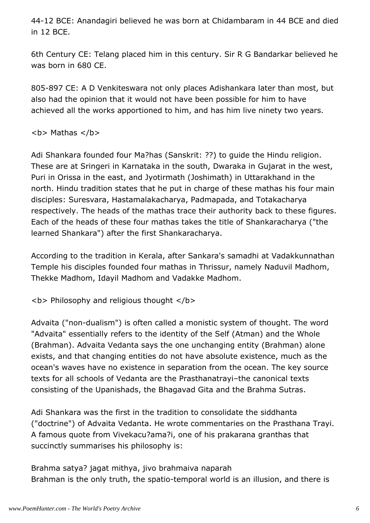44-12 BCE: Anandagiri believed he was born at Chidambaram in 44 BCE and died in 12 BCE.

6th Century CE: Telang placed him in this century. Sir R G Bandarkar believed he was born in 680 CE.

805-897 CE: A D Venkiteswara not only places Adishankara later than most, but also had the opinion that it would not have been possible for him to have achieved all the works apportioned to him, and has him live ninety two years.

 $$ 

Adi Shankara founded four Ma?has (Sanskrit: ??) to guide the Hindu religion. These are at Sringeri in Karnataka in the south, Dwaraka in Gujarat in the west, Puri in Orissa in the east, and Jyotirmath (Joshimath) in Uttarakhand in the north. Hindu tradition states that he put in charge of these mathas his four main disciples: Suresvara, Hastamalakacharya, Padmapada, and Totakacharya respectively. The heads of the mathas trace their authority back to these figures. Each of the heads of these four mathas takes the title of Shankaracharya ("the learned Shankara") after the first Shankaracharya.

According to the tradition in Kerala, after Sankara's samadhi at Vadakkunnathan Temple his disciples founded four mathas in Thrissur, namely Naduvil Madhom, Thekke Madhom, Idayil Madhom and Vadakke Madhom.

<b> Philosophy and religious thought </b>

Advaita ("non-dualism") is often called a monistic system of thought. The word "Advaita" essentially refers to the identity of the Self (Atman) and the Whole (Brahman). Advaita Vedanta says the one unchanging entity (Brahman) alone exists, and that changing entities do not have absolute existence, much as the ocean's waves have no existence in separation from the ocean. The key source texts for all schools of Vedanta are the Prasthanatrayi–the canonical texts consisting of the Upanishads, the Bhagavad Gita and the Brahma Sutras.

Adi Shankara was the first in the tradition to consolidate the siddhanta ("doctrine") of Advaita Vedanta. He wrote commentaries on the Prasthana Trayi. A famous quote from Vivekacu?ama?i, one of his prakarana granthas that succinctly summarises his philosophy is:

Brahma satya? jagat mithya, jivo brahmaiva naparah Brahman is the only truth, the spatio-temporal world is an illusion, and there is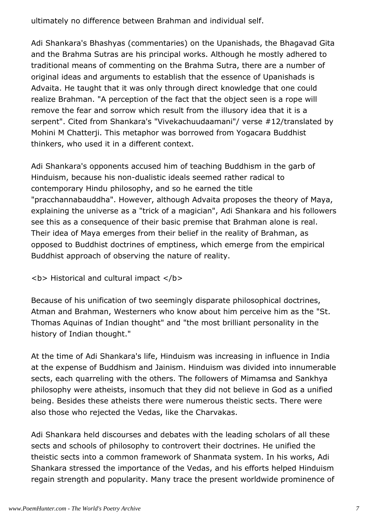ultimately no difference between Brahman and individual self.

Adi Shankara's Bhashyas (commentaries) on the Upanishads, the Bhagavad Gita and the Brahma Sutras are his principal works. Although he mostly adhered to traditional means of commenting on the Brahma Sutra, there are a number of original ideas and arguments to establish that the essence of Upanishads is Advaita. He taught that it was only through direct knowledge that one could realize Brahman. "A perception of the fact that the object seen is a rope will remove the fear and sorrow which result from the illusory idea that it is a serpent". Cited from Shankara's "Vivekachuudaamani"/ verse #12/translated by Mohini M Chatterji. This metaphor was borrowed from Yogacara Buddhist thinkers, who used it in a different context.

Adi Shankara's opponents accused him of teaching Buddhism in the garb of Hinduism, because his non-dualistic ideals seemed rather radical to contemporary Hindu philosophy, and so he earned the title "pracchannabauddha". However, although Advaita proposes the theory of Maya, explaining the universe as a "trick of a magician", Adi Shankara and his followers see this as a consequence of their basic premise that Brahman alone is real. Their idea of Maya emerges from their belief in the reality of Brahman, as opposed to Buddhist doctrines of emptiness, which emerge from the empirical Buddhist approach of observing the nature of reality.

**<b> Historical and cultural impact </b>** 

Because of his unification of two seemingly disparate philosophical doctrines, Atman and Brahman, Westerners who know about him perceive him as the "St. Thomas Aquinas of Indian thought" and "the most brilliant personality in the history of Indian thought."

At the time of Adi Shankara's life, Hinduism was increasing in influence in India at the expense of Buddhism and Jainism. Hinduism was divided into innumerable sects, each quarreling with the others. The followers of Mimamsa and Sankhya philosophy were atheists, insomuch that they did not believe in God as a unified being. Besides these atheists there were numerous theistic sects. There were also those who rejected the Vedas, like the Charvakas.

Adi Shankara held discourses and debates with the leading scholars of all these sects and schools of philosophy to controvert their doctrines. He unified the theistic sects into a common framework of Shanmata system. In his works, Adi Shankara stressed the importance of the Vedas, and his efforts helped Hinduism regain strength and popularity. Many trace the present worldwide prominence of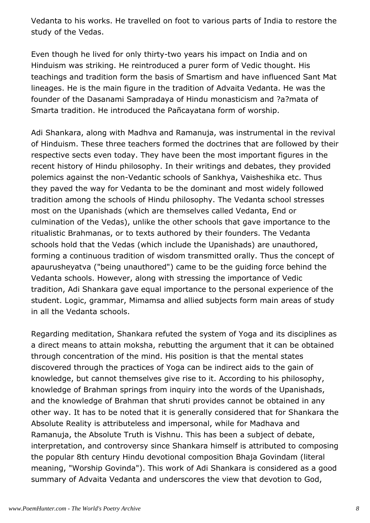Vedanta to his works. He travelled on foot to various parts of India to restore the study of the Vedas.

Even though he lived for only thirty-two years his impact on India and on Hinduism was striking. He reintroduced a purer form of Vedic thought. His teachings and tradition form the basis of Smartism and have influenced Sant Mat lineages. He is the main figure in the tradition of Advaita Vedanta. He was the founder of the Dasanami Sampradaya of Hindu monasticism and ?a?mata of Smarta tradition. He introduced the Pañcayatana form of worship.

Adi Shankara, along with Madhva and Ramanuja, was instrumental in the revival of Hinduism. These three teachers formed the doctrines that are followed by their respective sects even today. They have been the most important figures in the recent history of Hindu philosophy. In their writings and debates, they provided polemics against the non-Vedantic schools of Sankhya, Vaisheshika etc. Thus they paved the way for Vedanta to be the dominant and most widely followed tradition among the schools of Hindu philosophy. The Vedanta school stresses most on the Upanishads (which are themselves called Vedanta, End or culmination of the Vedas), unlike the other schools that gave importance to the ritualistic Brahmanas, or to texts authored by their founders. The Vedanta schools hold that the Vedas (which include the Upanishads) are unauthored, forming a continuous tradition of wisdom transmitted orally. Thus the concept of apaurusheyatva ("being unauthored") came to be the guiding force behind the Vedanta schools. However, along with stressing the importance of Vedic tradition, Adi Shankara gave equal importance to the personal experience of the student. Logic, grammar, Mimamsa and allied subjects form main areas of study in all the Vedanta schools.

Regarding meditation, Shankara refuted the system of Yoga and its disciplines as a direct means to attain moksha, rebutting the argument that it can be obtained through concentration of the mind. His position is that the mental states discovered through the practices of Yoga can be indirect aids to the gain of knowledge, but cannot themselves give rise to it. According to his philosophy, knowledge of Brahman springs from inquiry into the words of the Upanishads, and the knowledge of Brahman that shruti provides cannot be obtained in any other way. It has to be noted that it is generally considered that for Shankara the Absolute Reality is attributeless and impersonal, while for Madhava and Ramanuja, the Absolute Truth is Vishnu. This has been a subject of debate, interpretation, and controversy since Shankara himself is attributed to composing the popular 8th century Hindu devotional composition Bhaja Govindam (literal meaning, "Worship Govinda"). This work of Adi Shankara is considered as a good summary of Advaita Vedanta and underscores the view that devotion to God,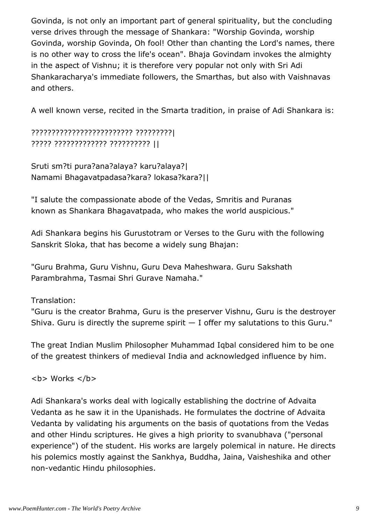Govinda, is not only an important part of general spirituality, but the concluding verse drives through the message of Shankara: "Worship Govinda, worship Govinda, worship Govinda, Oh fool! Other than chanting the Lord's names, there is no other way to cross the life's ocean". Bhaja Govindam invokes the almighty in the aspect of Vishnu; it is therefore very popular not only with Sri Adi Shankaracharya's immediate followers, the Smarthas, but also with Vaishnavas and others.

A well known verse, recited in the Smarta tradition, in praise of Adi Shankara is:

## ????????????????????????? ?????????| ????? ????????????? ?????????? ||

Sruti sm?ti pura?ana?alaya? karu?alaya?| Namami Bhagavatpadasa?kara? lokasa?kara?||

"I salute the compassionate abode of the Vedas, Smritis and Puranas known as Shankara Bhagavatpada, who makes the world auspicious."

Adi Shankara begins his Gurustotram or Verses to the Guru with the following Sanskrit Sloka, that has become a widely sung Bhajan:

"Guru Brahma, Guru Vishnu, Guru Deva Maheshwara. Guru Sakshath Parambrahma, Tasmai Shri Gurave Namaha."

Translation:

"Guru is the creator Brahma, Guru is the preserver Vishnu, Guru is the destroyer Shiva. Guru is directly the supreme spirit  $-$  I offer my salutations to this Guru."

The great Indian Muslim Philosopher Muhammad Iqbal considered him to be one of the greatest thinkers of medieval India and acknowledged influence by him.

 **Works**  $******/b******$ 

Adi Shankara's works deal with logically establishing the doctrine of Advaita Vedanta as he saw it in the Upanishads. He formulates the doctrine of Advaita Vedanta by validating his arguments on the basis of quotations from the Vedas and other Hindu scriptures. He gives a high priority to svanubhava ("personal experience") of the student. His works are largely polemical in nature. He directs his polemics mostly against the Sankhya, Buddha, Jaina, Vaisheshika and other non-vedantic Hindu philosophies.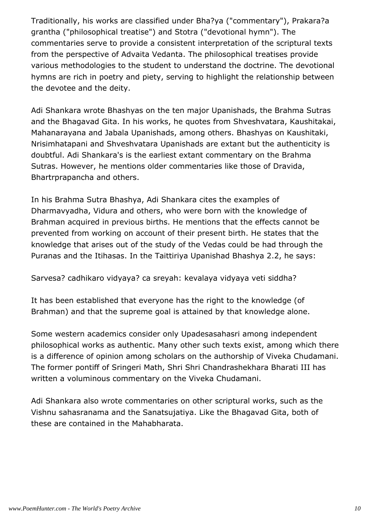Traditionally, his works are classified under Bha?ya ("commentary"), Prakara?a grantha ("philosophical treatise") and Stotra ("devotional hymn"). The commentaries serve to provide a consistent interpretation of the scriptural texts from the perspective of Advaita Vedanta. The philosophical treatises provide various methodologies to the student to understand the doctrine. The devotional hymns are rich in poetry and piety, serving to highlight the relationship between the devotee and the deity.

Adi Shankara wrote Bhashyas on the ten major Upanishads, the Brahma Sutras and the Bhagavad Gita. In his works, he quotes from Shveshvatara, Kaushitakai, Mahanarayana and Jabala Upanishads, among others. Bhashyas on Kaushitaki, Nrisimhatapani and Shveshvatara Upanishads are extant but the authenticity is doubtful. Adi Shankara's is the earliest extant commentary on the Brahma Sutras. However, he mentions older commentaries like those of Dravida, Bhartrprapancha and others.

In his Brahma Sutra Bhashya, Adi Shankara cites the examples of Dharmavyadha, Vidura and others, who were born with the knowledge of Brahman acquired in previous births. He mentions that the effects cannot be prevented from working on account of their present birth. He states that the knowledge that arises out of the study of the Vedas could be had through the Puranas and the Itihasas. In the Taittiriya Upanishad Bhashya 2.2, he says:

Sarvesa? cadhikaro vidyaya? ca sreyah: kevalaya vidyaya veti siddha?

It has been established that everyone has the right to the knowledge (of Brahman) and that the supreme goal is attained by that knowledge alone.

Some western academics consider only Upadesasahasri among independent philosophical works as authentic. Many other such texts exist, among which there is a difference of opinion among scholars on the authorship of Viveka Chudamani. The former pontiff of Sringeri Math, Shri Shri Chandrashekhara Bharati III has written a voluminous commentary on the Viveka Chudamani.

Adi Shankara also wrote commentaries on other scriptural works, such as the Vishnu sahasranama and the Sanatsujatiya. Like the Bhagavad Gita, both of these are contained in the Mahabharata.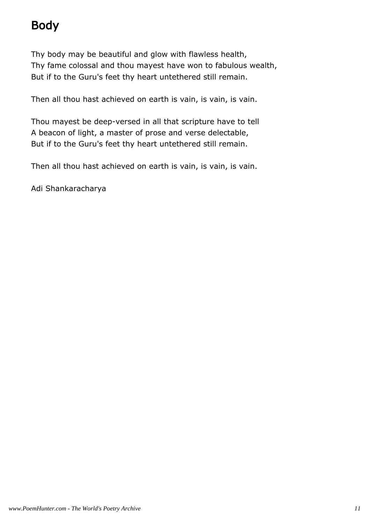# Body

Thy body may be beautiful and glow with flawless health, Thy fame colossal and thou mayest have won to fabulous wealth, But if to the Guru's feet thy heart untethered still remain.

Then all thou hast achieved on earth is vain, is vain, is vain.

Thou mayest be deep-versed in all that scripture have to tell A beacon of light, a master of prose and verse delectable, But if to the Guru's feet thy heart untethered still remain.

Then all thou hast achieved on earth is vain, is vain, is vain.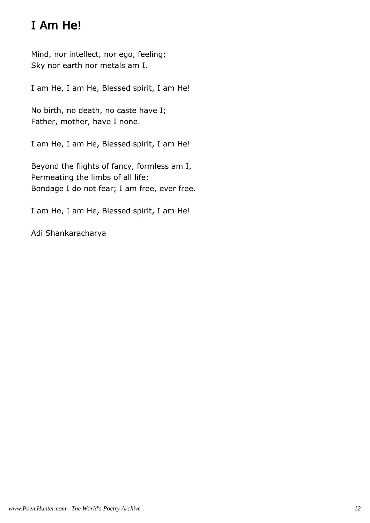# I Am He!

Mind, nor intellect, nor ego, feeling; Sky nor earth nor metals am I.

I am He, I am He, Blessed spirit, I am He!

No birth, no death, no caste have I; Father, mother, have I none.

I am He, I am He, Blessed spirit, I am He!

Beyond the flights of fancy, formless am I, Permeating the limbs of all life; Bondage I do not fear; I am free, ever free.

I am He, I am He, Blessed spirit, I am He!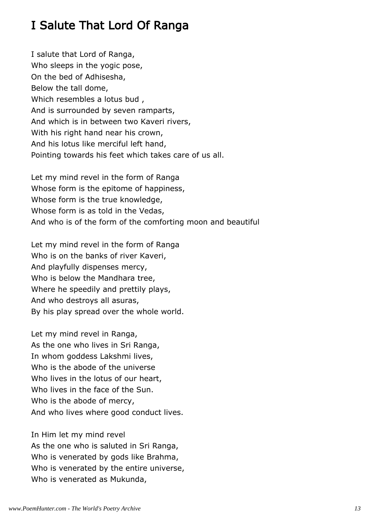## I Salute That Lord Of Ranga

I salute that Lord of Ranga, Who sleeps in the yogic pose, On the bed of Adhisesha, Below the tall dome, Which resembles a lotus bud , And is surrounded by seven ramparts, And which is in between two Kaveri rivers, With his right hand near his crown, And his lotus like merciful left hand, Pointing towards his feet which takes care of us all.

Let my mind revel in the form of Ranga Whose form is the epitome of happiness, Whose form is the true knowledge, Whose form is as told in the Vedas, And who is of the form of the comforting moon and beautiful

Let my mind revel in the form of Ranga Who is on the banks of river Kaveri, And playfully dispenses mercy, Who is below the Mandhara tree, Where he speedily and prettily plays, And who destroys all asuras, By his play spread over the whole world.

Let my mind revel in Ranga, As the one who lives in Sri Ranga, In whom goddess Lakshmi lives, Who is the abode of the universe Who lives in the lotus of our heart, Who lives in the face of the Sun. Who is the abode of mercy, And who lives where good conduct lives.

In Him let my mind revel As the one who is saluted in Sri Ranga, Who is venerated by gods like Brahma, Who is venerated by the entire universe, Who is venerated as Mukunda,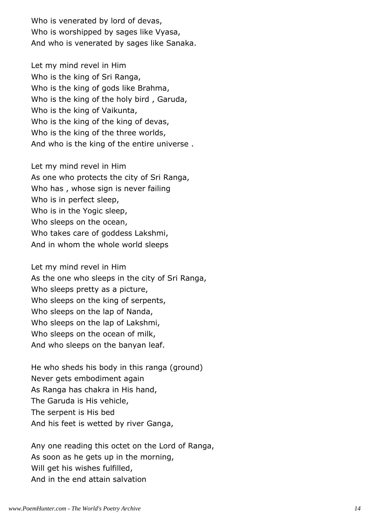Who is venerated by lord of devas, Who is worshipped by sages like Vyasa, And who is venerated by sages like Sanaka.

Let my mind revel in Him Who is the king of Sri Ranga, Who is the king of gods like Brahma, Who is the king of the holy bird , Garuda, Who is the king of Vaikunta, Who is the king of the king of devas, Who is the king of the three worlds, And who is the king of the entire universe .

Let my mind revel in Him As one who protects the city of Sri Ranga, Who has , whose sign is never failing Who is in perfect sleep, Who is in the Yogic sleep, Who sleeps on the ocean, Who takes care of goddess Lakshmi, And in whom the whole world sleeps

Let my mind revel in Him As the one who sleeps in the city of Sri Ranga, Who sleeps pretty as a picture, Who sleeps on the king of serpents, Who sleeps on the lap of Nanda, Who sleeps on the lap of Lakshmi, Who sleeps on the ocean of milk, And who sleeps on the banyan leaf.

He who sheds his body in this ranga (ground) Never gets embodiment again As Ranga has chakra in His hand, The Garuda is His vehicle, The serpent is His bed And his feet is wetted by river Ganga,

Any one reading this octet on the Lord of Ranga, As soon as he gets up in the morning, Will get his wishes fulfilled, And in the end attain salvation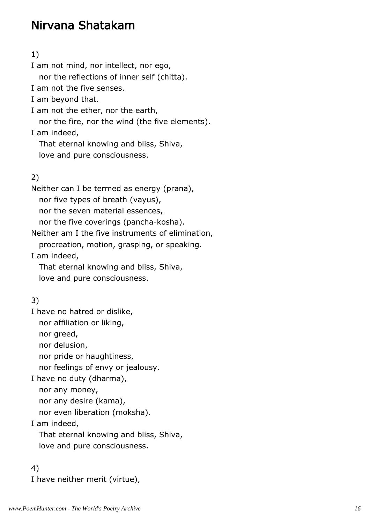## Nirvana Shatakam

#### 1)

I am not mind, nor intellect, nor ego, nor the reflections of inner self (chitta). I am not the five senses. I am beyond that. I am not the ether, nor the earth, nor the fire, nor the wind (the five elements). I am indeed, That eternal knowing and bliss, Shiva, love and pure consciousness. 2) Neither can I be termed as energy (prana), nor five types of breath (vayus), nor the seven material essences, nor the five coverings (pancha-kosha). Neither am I the five instruments of elimination, procreation, motion, grasping, or speaking. I am indeed, That eternal knowing and bliss, Shiva, love and pure consciousness.

#### 3)

I have no hatred or dislike,

nor affiliation or liking,

nor greed,

nor delusion,

nor pride or haughtiness,

nor feelings of envy or jealousy.

I have no duty (dharma),

nor any money,

nor any desire (kama),

nor even liberation (moksha).

I am indeed,

 That eternal knowing and bliss, Shiva, love and pure consciousness.

#### 4)

I have neither merit (virtue),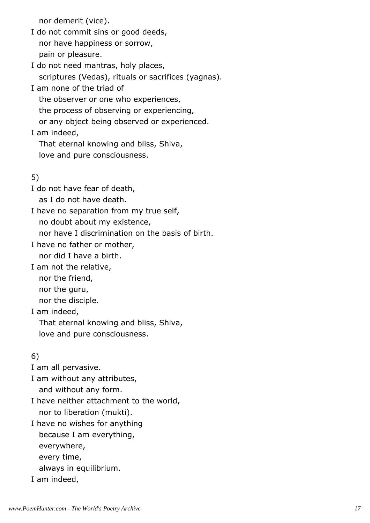nor demerit (vice).

I do not commit sins or good deeds, nor have happiness or sorrow, pain or pleasure.

I do not need mantras, holy places, scriptures (Vedas), rituals or sacrifices (yagnas).

I am none of the triad of

the observer or one who experiences,

the process of observing or experiencing,

or any object being observed or experienced.

I am indeed,

That eternal knowing and bliss, Shiva,

love and pure consciousness.

### 5)

I do not have fear of death,

as I do not have death.

I have no separation from my true self,

no doubt about my existence,

nor have I discrimination on the basis of birth.

I have no father or mother,

nor did I have a birth.

I am not the relative,

nor the friend,

nor the guru,

nor the disciple.

I am indeed,

That eternal knowing and bliss, Shiva,

love and pure consciousness.

## 6)

I am all pervasive.

I am without any attributes, and without any form.

I have neither attachment to the world, nor to liberation (mukti).

I have no wishes for anything because I am everything, everywhere, every time, always in equilibrium.

I am indeed,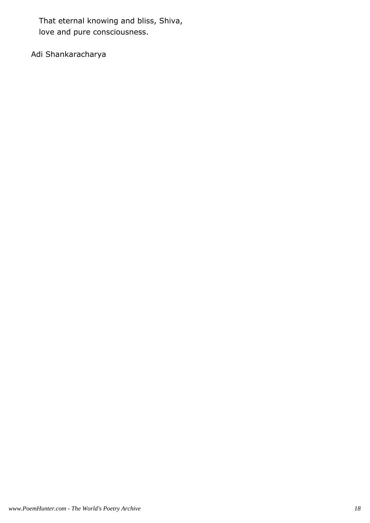That eternal knowing and bliss, Shiva, love and pure consciousness.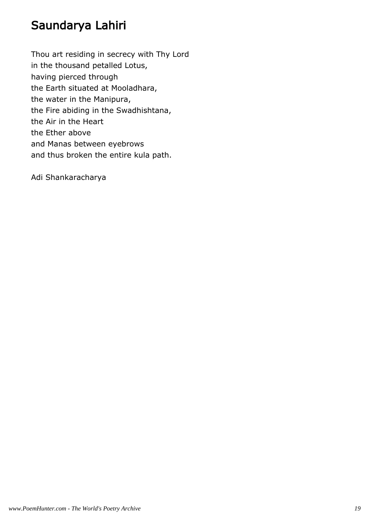## Saundarya Lahiri

Thou art residing in secrecy with Thy Lord in the thousand petalled Lotus, having pierced through the Earth situated at Mooladhara, the water in the Manipura, the Fire abiding in the Swadhishtana, the Air in the Heart the Ether above and Manas between eyebrows and thus broken the entire kula path.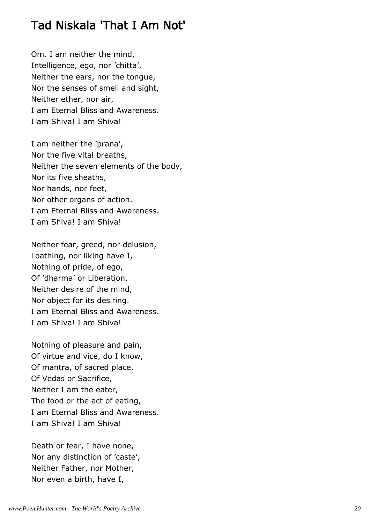## Tad Niskala 'That I Am Not'

Om. I am neither the mind, Intelligence, ego, nor 'chitta', Neither the ears, nor the tongue, Nor the senses of smell and sight, Neither ether, nor air, I am Eternal Bliss and Awareness. I am Shiva! I am Shiva!

I am neither the 'prana', Nor the five vital breaths, Neither the seven elements of the body, Nor its five sheaths, Nor hands, nor feet, Nor other organs of action. I am Eternal Bliss and Awareness. I am Shiva! I am Shiva!

Neither fear, greed, nor delusion, Loathing, nor liking have I, Nothing of pride, of ego, Of 'dharma' or Liberation, Neither desire of the mind, Nor object for its desiring. I am Eternal Bliss and Awareness. I am Shiva! I am Shiva!

Nothing of pleasure and pain, Of virtue and vice, do I know, Of mantra, of sacred place, Of Vedas or Sacrifice, Neither I am the eater, The food or the act of eating, I am Eternal Bliss and Awareness. I am Shiva! I am Shiva!

Death or fear, I have none, Nor any distinction of 'caste', Neither Father, nor Mother, Nor even a birth, have I,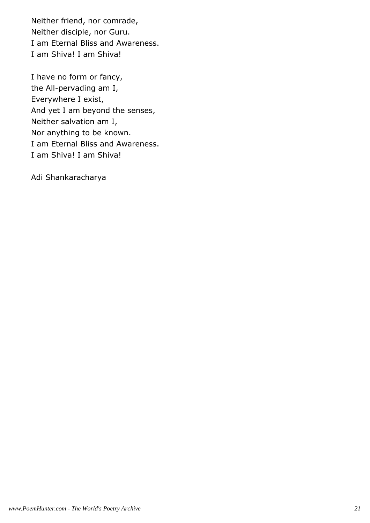Neither friend, nor comrade, Neither disciple, nor Guru. I am Eternal Bliss and Awareness. I am Shiva! I am Shiva!

I have no form or fancy, the All-pervading am I, Everywhere I exist, And yet I am beyond the senses, Neither salvation am I, Nor anything to be known. I am Eternal Bliss and Awareness. I am Shiva! I am Shiva!